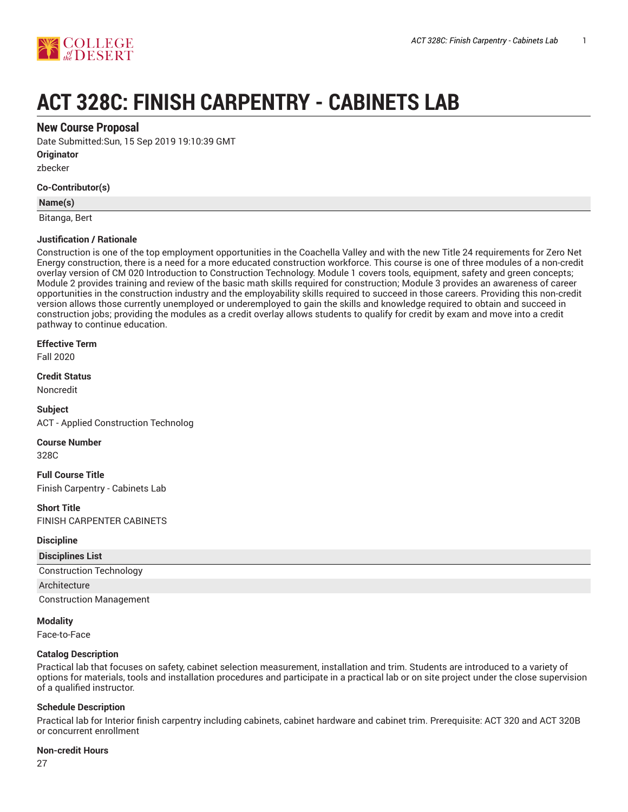

# **ACT 328C: FINISH CARPENTRY - CABINETS LAB**

# **New Course Proposal**

Date Submitted:Sun, 15 Sep 2019 19:10:39 GMT

**Originator**

zbecker

## **Co-Contributor(s)**

#### **Name(s)**

Bitanga, Bert

## **Justification / Rationale**

Construction is one of the top employment opportunities in the Coachella Valley and with the new Title 24 requirements for Zero Net Energy construction, there is a need for a more educated construction workforce. This course is one of three modules of a non-credit overlay version of CM 020 Introduction to Construction Technology. Module 1 covers tools, equipment, safety and green concepts; Module 2 provides training and review of the basic math skills required for construction; Module 3 provides an awareness of career opportunities in the construction industry and the employability skills required to succeed in those careers. Providing this non-credit version allows those currently unemployed or underemployed to gain the skills and knowledge required to obtain and succeed in construction jobs; providing the modules as a credit overlay allows students to qualify for credit by exam and move into a credit pathway to continue education.

#### **Effective Term**

Fall 2020

# **Credit Status**

Noncredit

**Subject** ACT - Applied Construction Technolog

#### **Course Number**

328C

**Full Course Title** Finish Carpentry - Cabinets Lab

# **Short Title**

FINISH CARPENTER CABINETS

# **Discipline**

| <b>Disciplines List</b>        |  |
|--------------------------------|--|
| <b>Construction Technology</b> |  |
| Architecture                   |  |
| <b>Construction Management</b> |  |

#### **Modality**

Face-to-Face

# **Catalog Description**

Practical lab that focuses on safety, cabinet selection measurement, installation and trim. Students are introduced to a variety of options for materials, tools and installation procedures and participate in a practical lab or on site project under the close supervision of a qualified instructor.

# **Schedule Description**

Practical lab for Interior finish carpentry including cabinets, cabinet hardware and cabinet trim. Prerequisite: ACT 320 and ACT 320B or concurrent enrollment

#### **Non-credit Hours**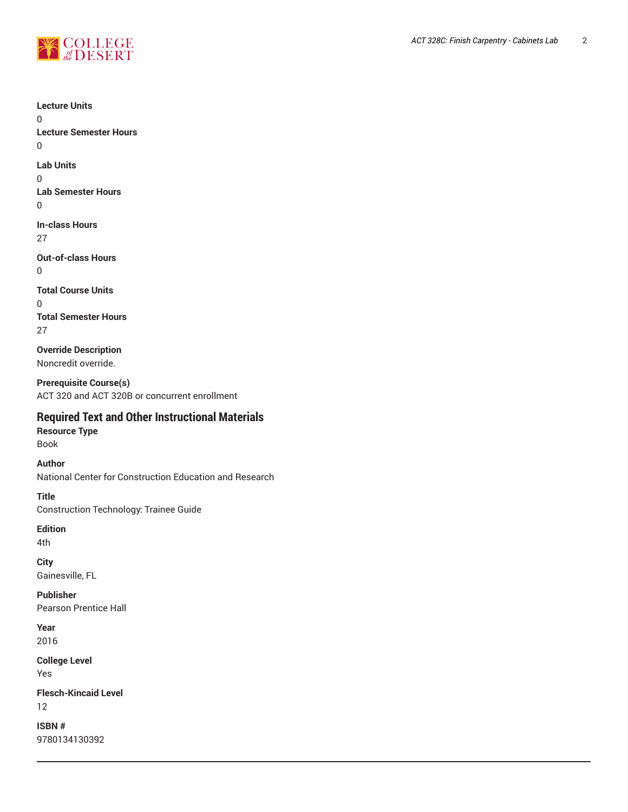

0

0

0

0

0

0

**Lecture Units Lecture Semester Hours Lab Units Lab Semester Hours In-class Hours** 27 **Out-of-class Hours Total Course Units Total Semester Hours** 27 **Override Description** Noncredit override. **Prerequisite Course(s)** ACT 320 and ACT 320B or concurrent enrollment **Required Text and Other Instructional Materials Resource Type** Book **Author** National Center for Construction Education and Research **Title** Construction Technology: Trainee Guide **Edition** 4th **City** Gainesville, FL **Publisher** Pearson Prentice Hall **Year** 2016 **College Level**

**Flesch-Kincaid Level** 12

**ISBN #** 9780134130392

Yes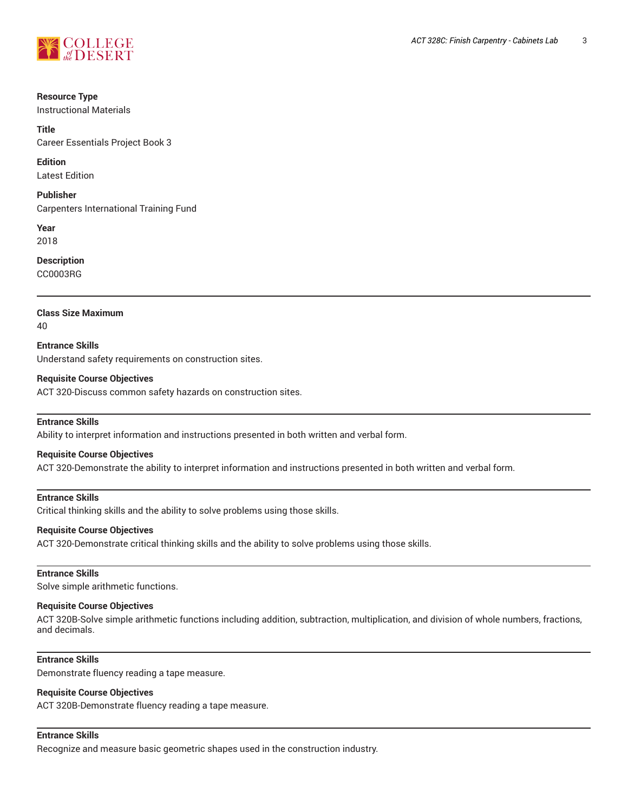

#### **Resource Type**

Instructional Materials

#### **Title**

Career Essentials Project Book 3

**Edition**

Latest Edition

**Publisher** Carpenters International Training Fund

**Year** 2018

**Description**

CC0003RG

## **Class Size Maximum**

40

**Entrance Skills** Understand safety requirements on construction sites.

## **Requisite Course Objectives**

ACT 320-Discuss common safety hazards on construction sites.

# **Entrance Skills**

Ability to interpret information and instructions presented in both written and verbal form.

#### **Requisite Course Objectives**

ACT 320-Demonstrate the ability to interpret information and instructions presented in both written and verbal form.

## **Entrance Skills**

Critical thinking skills and the ability to solve problems using those skills.

#### **Requisite Course Objectives**

ACT 320-Demonstrate critical thinking skills and the ability to solve problems using those skills.

#### **Entrance Skills**

Solve simple arithmetic functions.

#### **Requisite Course Objectives**

ACT 320B-Solve simple arithmetic functions including addition, subtraction, multiplication, and division of whole numbers, fractions, and decimals.

# **Entrance Skills**

Demonstrate fluency reading a tape measure.

## **Requisite Course Objectives**

ACT 320B-Demonstrate fluency reading a tape measure.

#### **Entrance Skills**

Recognize and measure basic geometric shapes used in the construction industry.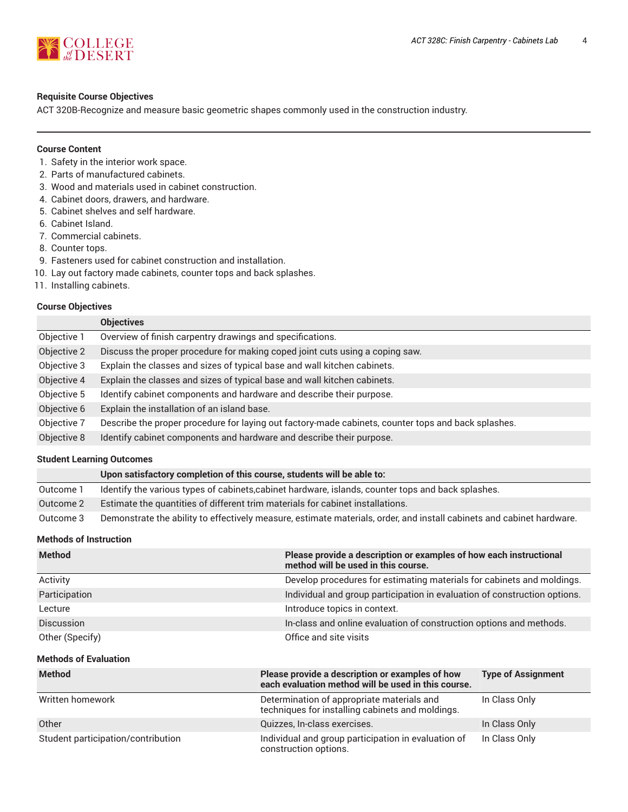

#### **Requisite Course Objectives**

ACT 320B-Recognize and measure basic geometric shapes commonly used in the construction industry.

#### **Course Content**

- 1. Safety in the interior work space.
- 2. Parts of manufactured cabinets.
- 3. Wood and materials used in cabinet construction.
- 4. Cabinet doors, drawers, and hardware.
- 5. Cabinet shelves and self hardware.
- 6. Cabinet Island.
- 7. Commercial cabinets.
- 8. Counter tops.
- 9. Fasteners used for cabinet construction and installation.
- 10. Lay out factory made cabinets, counter tops and back splashes.
- 11. Installing cabinets.

## **Course Objectives**

|             | <b>Objectives</b>                                                                                   |
|-------------|-----------------------------------------------------------------------------------------------------|
| Objective 1 | Overview of finish carpentry drawings and specifications.                                           |
| Objective 2 | Discuss the proper procedure for making coped joint cuts using a coping saw.                        |
| Objective 3 | Explain the classes and sizes of typical base and wall kitchen cabinets.                            |
| Objective 4 | Explain the classes and sizes of typical base and wall kitchen cabinets.                            |
| Objective 5 | Identify cabinet components and hardware and describe their purpose.                                |
| Objective 6 | Explain the installation of an island base.                                                         |
| Objective 7 | Describe the proper procedure for laying out factory-made cabinets, counter tops and back splashes. |
| Objective 8 | Identify cabinet components and hardware and describe their purpose.                                |

#### **Student Learning Outcomes**

|           | Upon satisfactory completion of this course, students will be able to:                                                |
|-----------|-----------------------------------------------------------------------------------------------------------------------|
| Outcome 1 | Identify the various types of cabinets, cabinet hardware, islands, counter tops and back splashes.                    |
| Outcome 2 | Estimate the quantities of different trim materials for cabinet installations.                                        |
| Outcome 3 | Demonstrate the ability to effectively measure, estimate materials, order, and install cabinets and cabinet hardware. |

#### **Methods of Instruction**

| <b>Method</b>                      | Please provide a description or examples of how each instructional<br>method will be used in this course. |                                                                           |  |
|------------------------------------|-----------------------------------------------------------------------------------------------------------|---------------------------------------------------------------------------|--|
| Activity                           |                                                                                                           | Develop procedures for estimating materials for cabinets and moldings.    |  |
| Participation                      |                                                                                                           | Individual and group participation in evaluation of construction options. |  |
| Lecture                            | Introduce topics in context.                                                                              |                                                                           |  |
| Discussion                         |                                                                                                           | In-class and online evaluation of construction options and methods.       |  |
| Other (Specify)                    | Office and site visits                                                                                    |                                                                           |  |
| <b>Methods of Evaluation</b>       |                                                                                                           |                                                                           |  |
| <b>Method</b>                      | Please provide a description or examples of how<br>each evaluation method will be used in this course.    | <b>Type of Assignment</b>                                                 |  |
| Written homework                   | Determination of appropriate materials and<br>techniques for installing cabinets and moldings.            | In Class Only                                                             |  |
| Other                              | Quizzes, In-class exercises.                                                                              | In Class Only                                                             |  |
| Student participation/contribution | Individual and group participation in evaluation of<br>construction options.                              | In Class Only                                                             |  |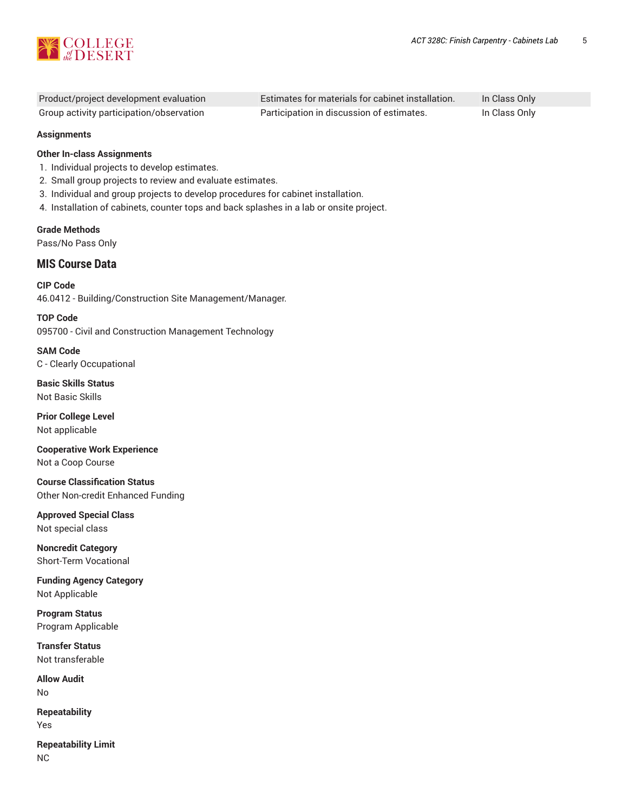

| Product/project development evaluation   | Estimates for materials for cabinet installation. | In Class Only |
|------------------------------------------|---------------------------------------------------|---------------|
| Group activity participation/observation | Participation in discussion of estimates.         | In Class Only |

#### **Assignments**

## **Other In-class Assignments**

- 1. Individual projects to develop estimates.
- 2. Small group projects to review and evaluate estimates.
- 3. Individual and group projects to develop procedures for cabinet installation.
- 4. Installation of cabinets, counter tops and back splashes in a lab or onsite project.

**Grade Methods** Pass/No Pass Only

# **MIS Course Data**

**CIP Code** 46.0412 - Building/Construction Site Management/Manager.

**TOP Code** 095700 - Civil and Construction Management Technology

**SAM Code** C - Clearly Occupational

**Basic Skills Status** Not Basic Skills

**Prior College Level** Not applicable

**Cooperative Work Experience** Not a Coop Course

**Course Classification Status** Other Non-credit Enhanced Funding

**Approved Special Class** Not special class

**Noncredit Category** Short-Term Vocational

**Funding Agency Category** Not Applicable

**Program Status** Program Applicable

**Transfer Status** Not transferable

**Allow Audit** No

**Repeatability** Yes

**Repeatability Limit** NC